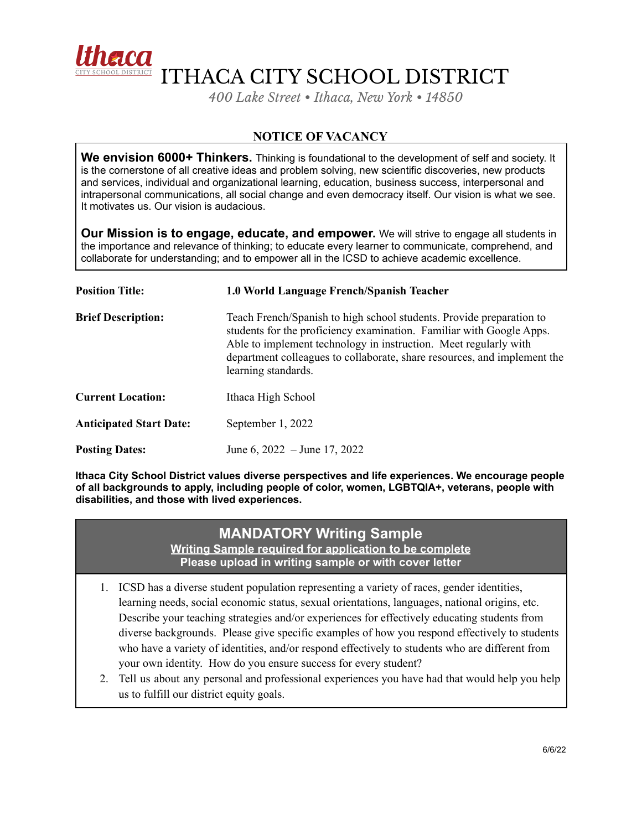

ITHACA CITY SCHOOL DISTRICT

*400 Lake Street • Ithaca, New York • 14850*

## **NOTICE OF VACANCY**

**We envision 6000+ Thinkers.** Thinking is foundational to the development of self and society. It is the cornerstone of all creative ideas and problem solving, new scientific discoveries, new products and services, individual and organizational learning, education, business success, interpersonal and intrapersonal communications, all social change and even democracy itself. Our vision is what we see. It motivates us. Our vision is audacious.

**Our Mission is to engage, educate, and empower.** We will strive to engage all students in the importance and relevance of thinking; to educate every learner to communicate, comprehend, and collaborate for understanding; and to empower all in the ICSD to achieve academic excellence.

| <b>Position Title:</b>         | 1.0 World Language French/Spanish Teacher                                                                                                                                                                                                                                                                           |
|--------------------------------|---------------------------------------------------------------------------------------------------------------------------------------------------------------------------------------------------------------------------------------------------------------------------------------------------------------------|
| <b>Brief Description:</b>      | Teach French/Spanish to high school students. Provide preparation to<br>students for the proficiency examination. Familiar with Google Apps.<br>Able to implement technology in instruction. Meet regularly with<br>department colleagues to collaborate, share resources, and implement the<br>learning standards. |
| <b>Current Location:</b>       | Ithaca High School                                                                                                                                                                                                                                                                                                  |
| <b>Anticipated Start Date:</b> | September 1, 2022                                                                                                                                                                                                                                                                                                   |
| <b>Posting Dates:</b>          | June 6, $2022 -$ June 17, 2022                                                                                                                                                                                                                                                                                      |

**Ithaca City School District values diverse perspectives and life experiences. We encourage people of all backgrounds to apply, including people of color, women, LGBTQIA+, veterans, people with disabilities, and those with lived experiences.**

## **MANDATORY Writing Sample**

**Writing Sample required for application to be complete Please upload in writing sample or with cover letter**

- 1. ICSD has a diverse student population representing a variety of races, gender identities, learning needs, social economic status, sexual orientations, languages, national origins, etc. Describe your teaching strategies and/or experiences for effectively educating students from diverse backgrounds. Please give specific examples of how you respond effectively to students who have a variety of identities, and/or respond effectively to students who are different from your own identity. How do you ensure success for every student?
- 2. Tell us about any personal and professional experiences you have had that would help you help us to fulfill our district equity goals.